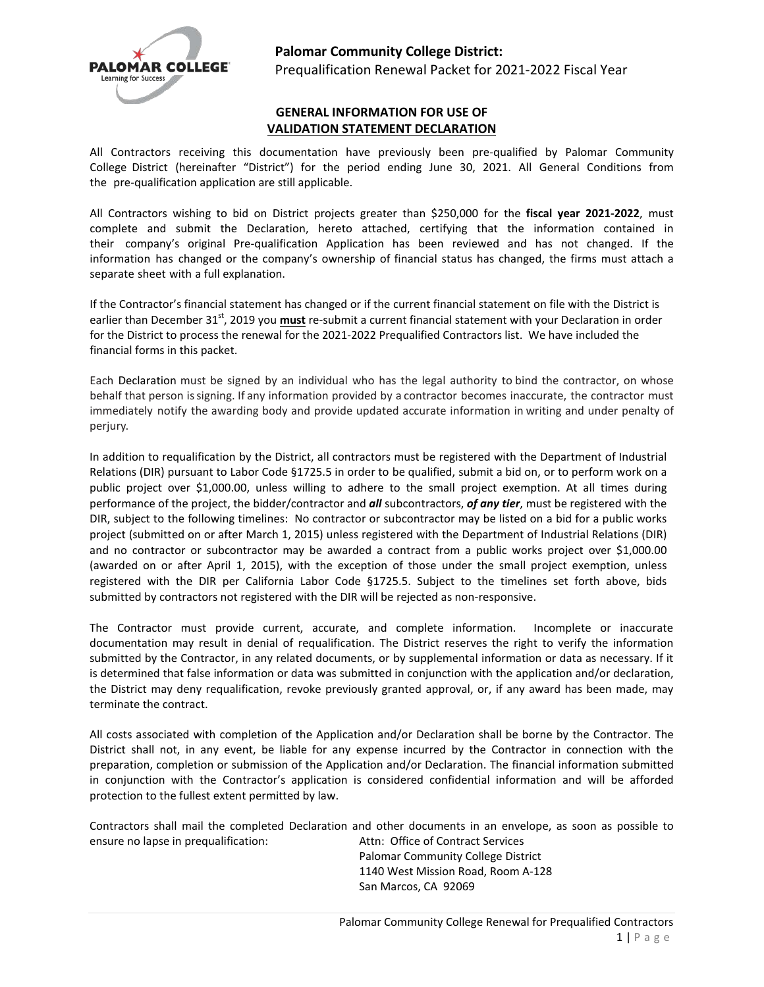

## **Palomar Community College District:**

Prequalification Renewal Packet for 2021-2022 Fiscal Year

### **GENERAL INFORMATION FOR USE OF VALIDATION STATEMENT DECLARATION**

All Contractors receiving this documentation have previously been pre-qualified by Palomar Community College District (hereinafter "District") for the period ending June 30, 2021. All General Conditions from the pre-qualification application are still applicable.

All Contractors wishing to bid on District projects greater than \$250,000 for the **fiscal year 2021-2022**, must complete and submit the Declaration, hereto attached, certifying that the information contained in their company's original Pre-qualification Application has been reviewed and has not changed. If the information has changed or the company's ownership of financial status has changed, the firms must attach a separate sheet with a full explanation.

If the Contractor's financial statement has changed or if the current financial statement on file with the District is earlier than December 31<sup>st</sup>, 2019 you *must* re-submit a current financial statement with your Declaration in order for the District to process the renewal for the 2021-2022 Prequalified Contractors list. We have included the financial forms in this packet.

Each Declaration must be signed by an individual who has the legal authority to bind the contractor, on whose behalf that person issigning. If any information provided by a contractor becomes inaccurate, the contractor must immediately notify the awarding body and provide updated accurate information in writing and under penalty of perjury.

In addition to requalification by the District, all contractors must be registered with the Department of Industrial Relations (DIR) pursuant to Labor Code §1725.5 in order to be qualified, submit a bid on, or to perform work on a public project over \$1,000.00, unless willing to adhere to the small project exemption. At all times during performance of the project, the bidder/contractor and *all* subcontractors, *of any tier*, must be registered with the DIR, subject to the following timelines: No contractor or subcontractor may be listed on a bid for a public works project (submitted on or after March 1, 2015) unless registered with the Department of Industrial Relations (DIR) and no contractor or subcontractor may be awarded a contract from a public works project over \$1,000.00 (awarded on or after April 1, 2015), with the exception of those under the small project exemption, unless registered with the DIR per California Labor Code §1725.5. Subject to the timelines set forth above, bids submitted by contractors not registered with the DIR will be rejected as non-responsive.

The Contractor must provide current, accurate, and complete information. Incomplete or inaccurate documentation may result in denial of requalification. The District reserves the right to verify the information submitted by the Contractor, in any related documents, or by supplemental information or data as necessary. If it is determined that false information or data was submitted in conjunction with the application and/or declaration, the District may deny requalification, revoke previously granted approval, or, if any award has been made, may terminate the contract.

All costs associated with completion of the Application and/or Declaration shall be borne by the Contractor. The District shall not, in any event, be liable for any expense incurred by the Contractor in connection with the preparation, completion or submission of the Application and/or Declaration. The financial information submitted in conjunction with the Contractor's application is considered confidential information and will be afforded protection to the fullest extent permitted by law.

Contractors shall mail the completed Declaration and other documents in an envelope, as soon as possible to ensure no lapse in prequalification: Attn: Office of Contract Services

Palomar Community College District 1140 West Mission Road, Room A-128 San Marcos, CA 92069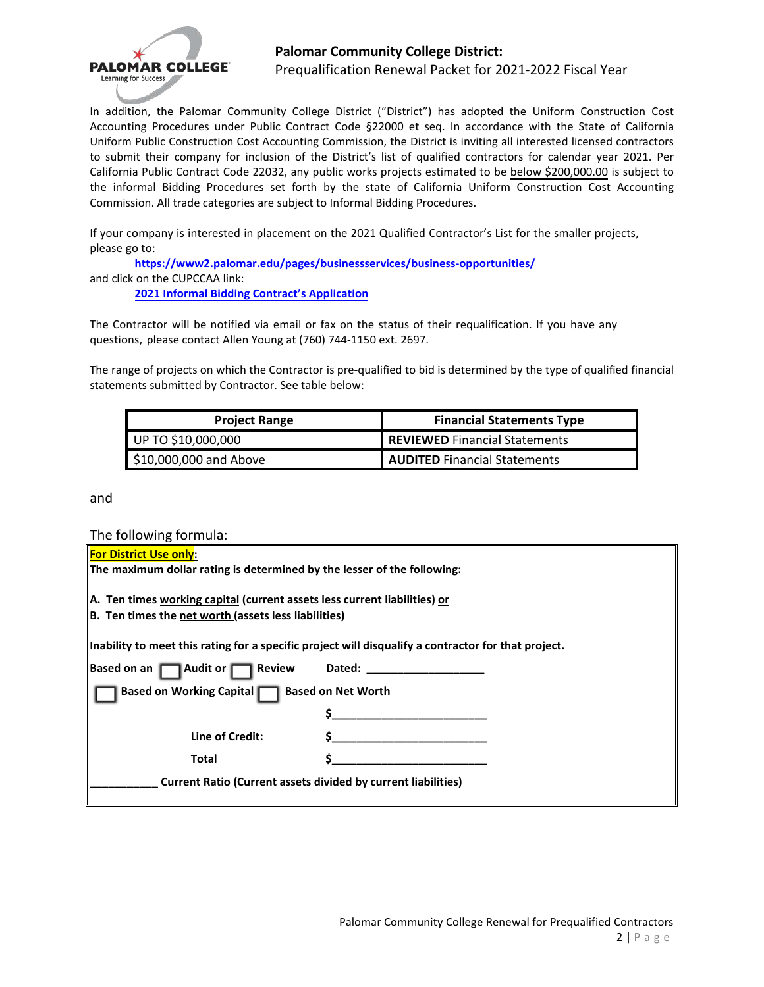

## **Palomar Community College District:**

Prequalification Renewal Packet for 2021-2022 Fiscal Year

In addition, the Palomar Community College District ("District") has adopted the Uniform Construction Cost Accounting Procedures under Public Contract Code §22000 et seq. In accordance with the State of California Uniform Public Construction Cost Accounting Commission, the District is inviting all interested licensed contractors to submit their company for inclusion of the District's list of qualified contractors for calendar year 2021. Per California Public Contract Code 22032, any public works projects estimated to be below \$200,000.00 is subject to the informal Bidding Procedures set forth by the state of California Uniform Construction Cost Accounting Commission. All trade categories are subject to Informal Bidding Procedures.

If your company is interested in placement on the 2021 Qualified Contractor's List for the smaller projects, please go to:

**<https://www2.palomar.edu/pages/businessservices/business-opportunities/>** and click on the CUPCCAA link:

**2021 [Informal Bidding Contract's Application](https://www.surveymonkey.com/r/PKXWRCM)**

The Contractor will be notified via email or fax on the status of their requalification. If you have any questions, please contact Allen Young at (760) 744-1150 ext. 2697.

The range of projects on which the Contractor is pre-qualified to bid is determined by the type of qualified financial statements submitted by Contractor. See table below:

| <b>Project Range</b>    | <b>Financial Statements Type</b>     |  |
|-------------------------|--------------------------------------|--|
| UP TO \$10,000,000      | <b>REVIEWED</b> Financial Statements |  |
| $$10,000,000$ and Above | <b>AUDITED</b> Financial Statements  |  |

and

The following formula:

| For District Use only:                                                    |                                                                                                     |  |  |  |
|---------------------------------------------------------------------------|-----------------------------------------------------------------------------------------------------|--|--|--|
| The maximum dollar rating is determined by the lesser of the following:   |                                                                                                     |  |  |  |
|                                                                           |                                                                                                     |  |  |  |
|                                                                           |                                                                                                     |  |  |  |
| A. Ten times working capital (current assets less current liabilities) or |                                                                                                     |  |  |  |
| B. Ten times the net worth (assets less liabilities)                      |                                                                                                     |  |  |  |
|                                                                           |                                                                                                     |  |  |  |
|                                                                           | Inability to meet this rating for a specific project will disqualify a contractor for that project. |  |  |  |
|                                                                           |                                                                                                     |  |  |  |
| Based on an Audit or Review                                               | Dated:                                                                                              |  |  |  |
|                                                                           |                                                                                                     |  |  |  |
| Based on Working Capital   Based on Net Worth                             |                                                                                                     |  |  |  |
|                                                                           |                                                                                                     |  |  |  |
|                                                                           |                                                                                                     |  |  |  |
|                                                                           |                                                                                                     |  |  |  |
| Line of Credit:                                                           |                                                                                                     |  |  |  |
| <b>Total</b>                                                              |                                                                                                     |  |  |  |
|                                                                           |                                                                                                     |  |  |  |
| <b>Current Ratio (Current assets divided by current liabilities)</b>      |                                                                                                     |  |  |  |
|                                                                           |                                                                                                     |  |  |  |
|                                                                           |                                                                                                     |  |  |  |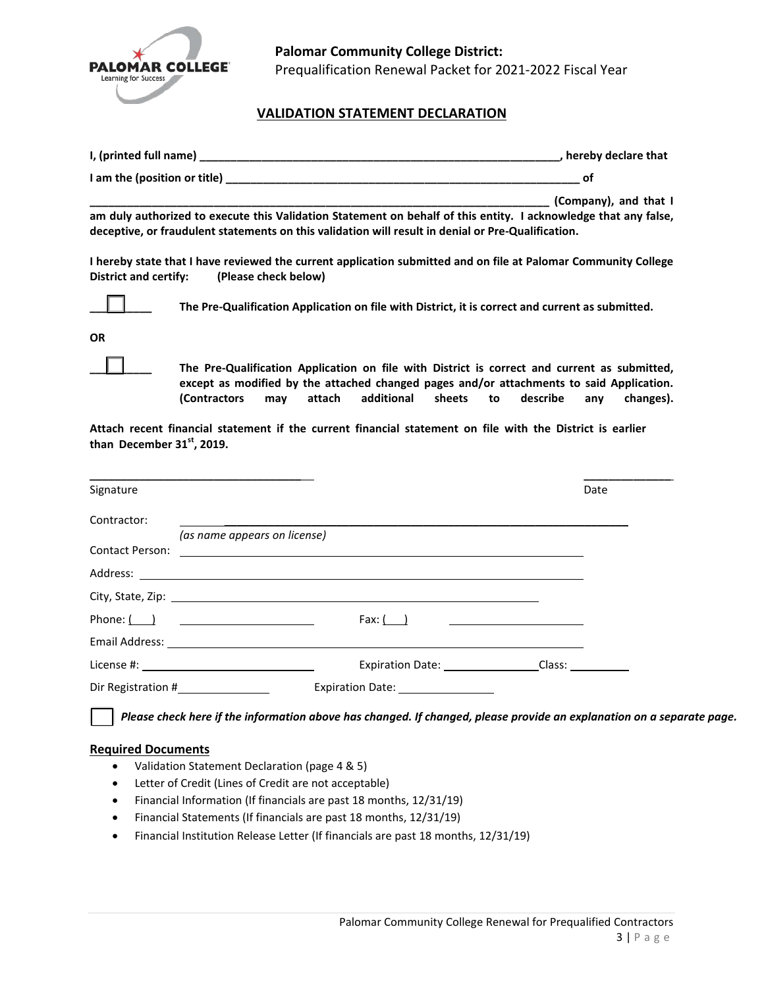

# **VALIDATION STATEMENT DECLARATION**

|                                                                                                                                                                                                                       | , hereby declare that |
|-----------------------------------------------------------------------------------------------------------------------------------------------------------------------------------------------------------------------|-----------------------|
|                                                                                                                                                                                                                       | .of                   |
| am duly authorized to execute this Validation Statement on behalf of this entity. I acknowledge that any false,<br>deceptive, or fraudulent statements on this validation will result in denial or Pre-Qualification. | (Company), and that I |
| I hereby state that I have reviewed the current application submitted and on file at Palomar Community College                                                                                                        |                       |

**I hereby state that I have reviewed the current application submitted and on file at Palomar Community College District and certify: (Please check below)**



**\_\_\_\_\_\_\_\_\_\_ The Pre-Qualification Application on file with District, it is correct and current as submitted.**

**OR**

**\_\_\_\_\_\_\_\_\_\_ The Pre-Qualification Application on file with District is correct and current as submitted, except as modified by the attached changed pages and/or attachments to said Application. (Contractors may attach additional sheets to describe any changes).** 

**Attach recent financial statement if the current financial statement on file with the District is earlier than December 31 st , 2019.**

| Signature                                             |                                                                                                                                                                                                                                    | Date                    |
|-------------------------------------------------------|------------------------------------------------------------------------------------------------------------------------------------------------------------------------------------------------------------------------------------|-------------------------|
| Contractor:                                           |                                                                                                                                                                                                                                    |                         |
|                                                       | (as name appears on license)                                                                                                                                                                                                       |                         |
|                                                       |                                                                                                                                                                                                                                    |                         |
|                                                       |                                                                                                                                                                                                                                    |                         |
|                                                       |                                                                                                                                                                                                                                    |                         |
| Phone: $\begin{pmatrix} 1 & 1 \\ 1 & 1 \end{pmatrix}$ | Fax: $\begin{array}{ c c c c }\n\hline\n\end{array}$                                                                                                                                                                               |                         |
|                                                       | Email Address: <u>example and a series</u> and a series of the series of the series of the series of the series of the series of the series of the series of the series of the series of the series of the series of the series of |                         |
| License #: $\sqrt{ }$                                 |                                                                                                                                                                                                                                    | Expiration Date: Class: |
| Dir Registration #___________________                 | Expiration Date: 2008                                                                                                                                                                                                              |                         |

### **Required Documents**

- Validation Statement Declaration (page 4 & 5)
- Letter of Credit (Lines of Credit are not acceptable)
- Financial Information (If financials are past 18 months, 12/31/19)
- Financial Statements (If financials are past 18 months, 12/31/19)
- Financial Institution Release Letter (If financials are past 18 months, 12/31/19)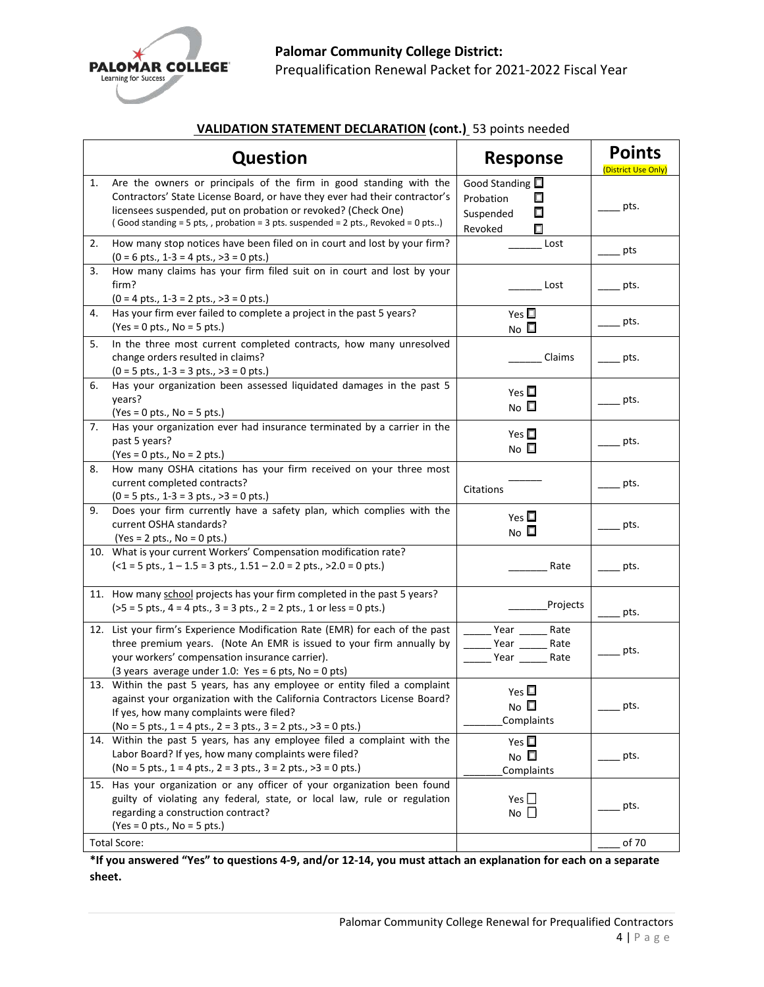

# **VALIDATION STATEMENT DECLARATION (cont.)** 53 points needed

| <b>Question</b> |                                                                                                                                                                                                                                                                                                       | <b>Response</b>                                                             | <b>Points</b><br><b>(District Use Only</b> |
|-----------------|-------------------------------------------------------------------------------------------------------------------------------------------------------------------------------------------------------------------------------------------------------------------------------------------------------|-----------------------------------------------------------------------------|--------------------------------------------|
| 1.              | Are the owners or principals of the firm in good standing with the<br>Contractors' State License Board, or have they ever had their contractor's<br>licensees suspended, put on probation or revoked? (Check One)<br>(Good standing = 5 pts,, probation = 3 pts. suspended = 2 pts., Revoked = 0 pts) | Good Standing $\square$<br>□<br>Probation<br>П<br>Suspended<br>Revoked<br>П | pts.                                       |
| 2.              | How many stop notices have been filed on in court and lost by your firm?<br>$(0 = 6 \text{ pts.}, 1 - 3 = 4 \text{ pts.}, >3 = 0 \text{ pts.})$                                                                                                                                                       | Lost                                                                        | pts                                        |
| 3.              | How many claims has your firm filed suit on in court and lost by your<br>firm?<br>$(0 = 4 \text{ pts.}, 1-3 = 2 \text{ pts.}, >3 = 0 \text{ pts.})$                                                                                                                                                   | Lost                                                                        | pts.                                       |
| 4.              | Has your firm ever failed to complete a project in the past 5 years?<br>$(Yes = 0 pts., No = 5 pts.)$                                                                                                                                                                                                 | Yes $\square$<br>N <sub>O</sub>                                             | pts.                                       |
| 5.              | In the three most current completed contracts, how many unresolved<br>change orders resulted in claims?<br>$(0 = 5 \text{ pts.}, 1 - 3 = 3 \text{ pts.}, >3 = 0 \text{ pts.})$                                                                                                                        | Claims                                                                      | pts.                                       |
| 6.              | Has your organization been assessed liquidated damages in the past 5<br>years?<br>$(Yes = 0 pts., No = 5 pts.)$                                                                                                                                                                                       | Yes $\square$<br>No $\square$                                               | pts.                                       |
| 7.              | Has your organization ever had insurance terminated by a carrier in the<br>past 5 years?<br>$(Yes = 0 pts., No = 2 pts.)$                                                                                                                                                                             | Yes $\square$<br>No $\square$                                               | pts.                                       |
| 8.              | How many OSHA citations has your firm received on your three most<br>current completed contracts?<br>$(0 = 5 \text{ pts.}, 1 - 3 = 3 \text{ pts.}, >3 = 0 \text{ pts.})$                                                                                                                              | Citations                                                                   | pts.                                       |
| 9.              | Does your firm currently have a safety plan, which complies with the<br>current OSHA standards?<br>$(Yes = 2 pts., No = 0 pts.)$                                                                                                                                                                      | Yes $\square$<br>N <sub>O</sub>                                             | pts.                                       |
|                 | 10. What is your current Workers' Compensation modification rate?<br>$(-1 = 5 \text{ pts.}, 1 - 1.5 = 3 \text{ pts.}, 1.51 - 2.0 = 2 \text{ pts.}, >2.0 = 0 \text{ pts.})$                                                                                                                            | Rate                                                                        | pts.                                       |
|                 | 11. How many school projects has your firm completed in the past 5 years?<br>$(55 = 5 \text{ pts.}, 4 = 4 \text{ pts.}, 3 = 3 \text{ pts.}, 2 = 2 \text{ pts.}, 1 \text{ or less } = 0 \text{ pts.})$                                                                                                 | Projects                                                                    | pts.                                       |
|                 | 12. List your firm's Experience Modification Rate (EMR) for each of the past<br>three premium years. (Note An EMR is issued to your firm annually by<br>your workers' compensation insurance carrier).<br>(3 years average under 1.0: Yes = 6 pts, No = 0 pts)                                        | Year<br>Rate<br>Year<br>Rate<br>Year<br>Rate                                | pts.                                       |
|                 | 13. Within the past 5 years, has any employee or entity filed a complaint<br>against your organization with the California Contractors License Board?<br>If yes, how many complaints were filed?<br>(No = 5 pts., $1 = 4$ pts., $2 = 3$ pts., $3 = 2$ pts., $>3 = 0$ pts.)                            | Yes $\square$<br>No $\square$<br>Complaints                                 | pts.                                       |
|                 | 14. Within the past 5 years, has any employee filed a complaint with the<br>Labor Board? If yes, how many complaints were filed?<br>$(No = 5 pts., 1 = 4 pts., 2 = 3 pts., 3 = 2 pts., >3 = 0 pts.)$                                                                                                  | Yes $\square$<br>No $\square$<br>Complaints                                 | pts.                                       |
|                 | 15. Has your organization or any officer of your organization been found<br>guilty of violating any federal, state, or local law, rule or regulation<br>regarding a construction contract?<br>$(Yes = 0 pts., No = 5 pts.)$                                                                           | Yes $\square$<br>$No$ $\Box$                                                | pts.                                       |
|                 | <b>Total Score:</b>                                                                                                                                                                                                                                                                                   |                                                                             | of 70                                      |

**\*If you answered "Yes" to questions 4-9, and/or 12-14, you must attach an explanation for each on a separate sheet.**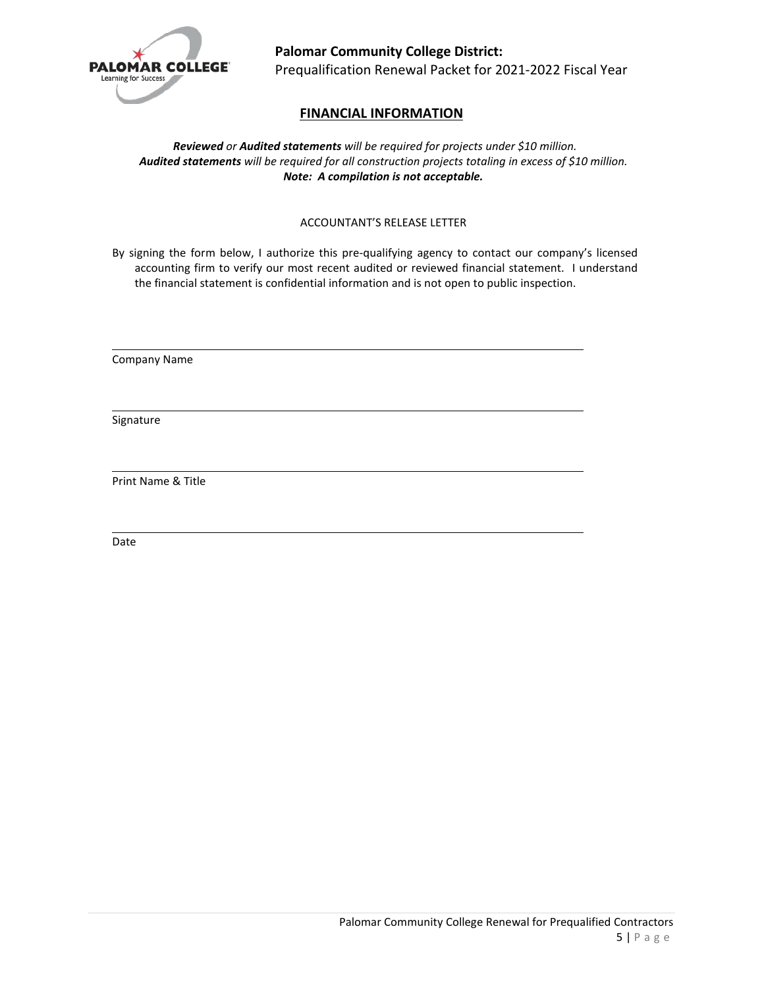

# **FINANCIAL INFORMATION**

*Reviewed or Audited statements will be required for projects under \$10 million. Audited statements will be required for all construction projects totaling in excess of \$10 million. Note: A compilation is not acceptable.*

### ACCOUNTANT'S RELEASE LETTER

By signing the form below, I authorize this pre-qualifying agency to contact our company's licensed accounting firm to verify our most recent audited or reviewed financial statement. I understand the financial statement is confidential information and is not open to public inspection.

Company Name

Signature

Print Name & Title

Date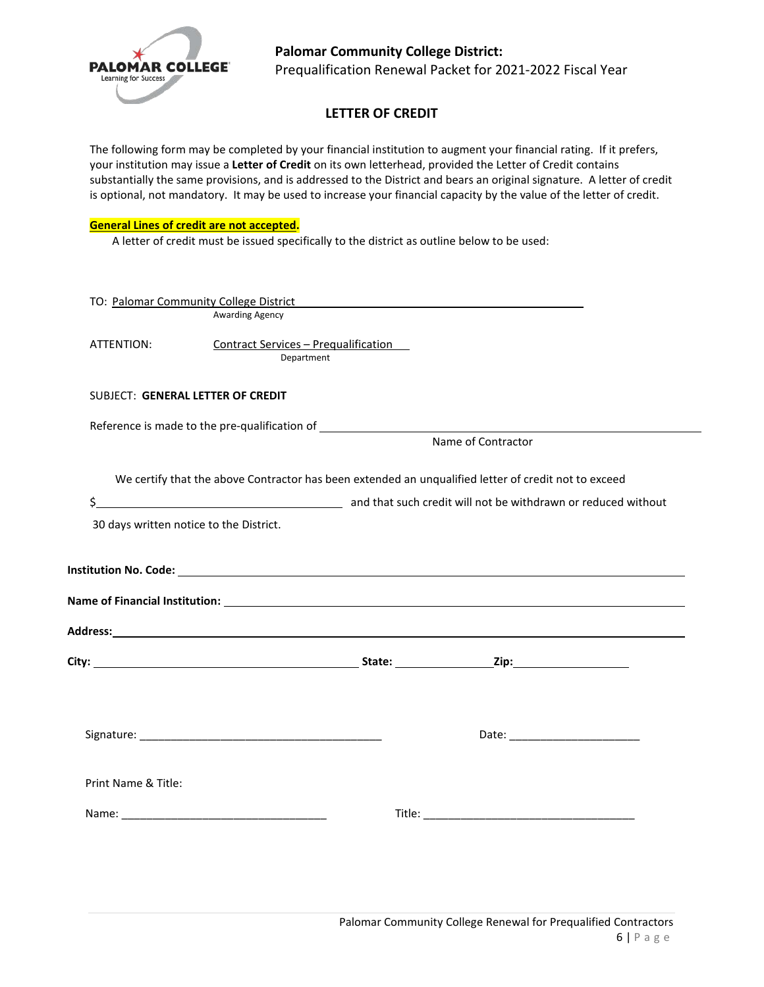

# **Palomar Community College District:**  Prequalification Renewal Packet for 2021-2022 Fiscal Year

# **LETTER OF CREDIT**

The following form may be completed by your financial institution to augment your financial rating. If it prefers, your institution may issue a **Letter of Credit** on its own letterhead, provided the Letter of Credit contains substantially the same provisions, and is addressed to the District and bears an original signature. A letter of credit is optional, not mandatory. It may be used to increase your financial capacity by the value of the letter of credit.

#### **General Lines of credit are not accepted.**

A letter of credit must be issued specifically to the district as outline below to be used:

|                     | TO: Palomar Community College District <b>Container Container Container Community College District</b>         |                    |  |
|---------------------|----------------------------------------------------------------------------------------------------------------|--------------------|--|
|                     | Awarding Agency                                                                                                |                    |  |
| ATTENTION:          | <b>Contract Services - Prequalification</b><br>Department                                                      |                    |  |
|                     | SUBJECT: GENERAL LETTER OF CREDIT                                                                              |                    |  |
|                     |                                                                                                                |                    |  |
|                     |                                                                                                                | Name of Contractor |  |
|                     | We certify that the above Contractor has been extended an unqualified letter of credit not to exceed           |                    |  |
|                     | 30 days written notice to the District.                                                                        |                    |  |
|                     |                                                                                                                |                    |  |
|                     |                                                                                                                |                    |  |
|                     |                                                                                                                |                    |  |
|                     | Name of Financial Institution: with a state of the state of the state of the state of the state of the state o |                    |  |
|                     |                                                                                                                |                    |  |
|                     |                                                                                                                |                    |  |
|                     |                                                                                                                |                    |  |
|                     |                                                                                                                |                    |  |
| Print Name & Title: |                                                                                                                |                    |  |
|                     |                                                                                                                |                    |  |
|                     |                                                                                                                |                    |  |
|                     |                                                                                                                |                    |  |